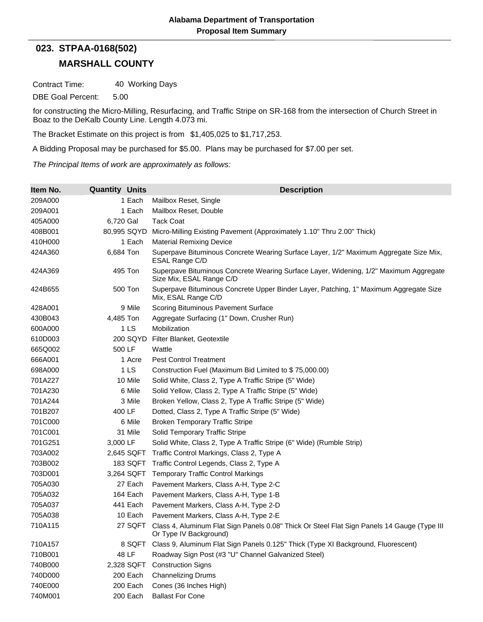## **MARSHALL COUNTY 023. STPAA-0168(502)**

Contract Time: 40 Working Days

DBE Goal Percent: 5.00

for constructing the Micro-Milling, Resurfacing, and Traffic Stripe on SR-168 from the intersection of Church Street in Boaz to the DeKalb County Line. Length 4.073 mi.

The Bracket Estimate on this project is from \$1,405,025 to \$1,717,253.

A Bidding Proposal may be purchased for \$5.00. Plans may be purchased for \$7.00 per set.

*The Principal Items of work are approximately as follows:*

| Item No. | <b>Quantity Units</b> | <b>Description</b>                                                                                                    |
|----------|-----------------------|-----------------------------------------------------------------------------------------------------------------------|
| 209A000  | 1 Each                | Mailbox Reset, Single                                                                                                 |
| 209A001  | 1 Each                | Mailbox Reset, Double                                                                                                 |
| 405A000  | 6,720 Gal             | <b>Tack Coat</b>                                                                                                      |
| 408B001  | 80,995 SQYD           | Micro-Milling Existing Pavement (Approximately 1.10" Thru 2.00" Thick)                                                |
| 410H000  | 1 Each                | <b>Material Remixing Device</b>                                                                                       |
| 424A360  | 6,684 Ton             | Superpave Bituminous Concrete Wearing Surface Layer, 1/2" Maximum Aggregate Size Mix,<br>ESAL Range C/D               |
| 424A369  | 495 Ton               | Superpave Bituminous Concrete Wearing Surface Layer, Widening, 1/2" Maximum Aggregate<br>Size Mix, ESAL Range C/D     |
| 424B655  | 500 Ton               | Superpave Bituminous Concrete Upper Binder Layer, Patching, 1" Maximum Aggregate Size<br>Mix, ESAL Range C/D          |
| 428A001  | 9 Mile                | Scoring Bituminous Pavement Surface                                                                                   |
| 430B043  | 4,485 Ton             | Aggregate Surfacing (1" Down, Crusher Run)                                                                            |
| 600A000  | 1LS                   | Mobilization                                                                                                          |
| 610D003  | 200 SQYD              | Filter Blanket, Geotextile                                                                                            |
| 665Q002  | 500 LF                | Wattle                                                                                                                |
| 666A001  | 1 Acre                | <b>Pest Control Treatment</b>                                                                                         |
| 698A000  | 1 <sub>LS</sub>       | Construction Fuel (Maximum Bid Limited to \$75,000.00)                                                                |
| 701A227  | 10 Mile               | Solid White, Class 2, Type A Traffic Stripe (5" Wide)                                                                 |
| 701A230  | 6 Mile                | Solid Yellow, Class 2, Type A Traffic Stripe (5" Wide)                                                                |
| 701A244  | 3 Mile                | Broken Yellow, Class 2, Type A Traffic Stripe (5" Wide)                                                               |
| 701B207  | 400 LF                | Dotted, Class 2, Type A Traffic Stripe (5" Wide)                                                                      |
| 701C000  | 6 Mile                | <b>Broken Temporary Traffic Stripe</b>                                                                                |
| 701C001  | 31 Mile               | Solid Temporary Traffic Stripe                                                                                        |
| 701G251  | 3,000 LF              | Solid White, Class 2, Type A Traffic Stripe (6" Wide) (Rumble Strip)                                                  |
| 703A002  | 2,645 SQFT            | Traffic Control Markings, Class 2, Type A                                                                             |
| 703B002  | 183 SQFT              | Traffic Control Legends, Class 2, Type A                                                                              |
| 703D001  | 3,264 SQFT            | <b>Temporary Traffic Control Markings</b>                                                                             |
| 705A030  | 27 Each               | Pavement Markers, Class A-H, Type 2-C                                                                                 |
| 705A032  | 164 Each              | Pavement Markers, Class A-H, Type 1-B                                                                                 |
| 705A037  | 441 Each              | Pavement Markers, Class A-H, Type 2-D                                                                                 |
| 705A038  | 10 Each               | Pavement Markers, Class A-H, Type 2-E                                                                                 |
| 710A115  | 27 SQFT               | Class 4, Aluminum Flat Sign Panels 0.08" Thick Or Steel Flat Sign Panels 14 Gauge (Type III<br>Or Type IV Background) |
| 710A157  | 8 SQFT                | Class 9, Aluminum Flat Sign Panels 0.125" Thick (Type XI Background, Fluorescent)                                     |
| 710B001  | 48 LF                 | Roadway Sign Post (#3 "U" Channel Galvanized Steel)                                                                   |
| 740B000  | 2,328 SQFT            | <b>Construction Signs</b>                                                                                             |
| 740D000  | 200 Each              | <b>Channelizing Drums</b>                                                                                             |
| 740E000  | 200 Each              | Cones (36 Inches High)                                                                                                |
| 740M001  | 200 Each              | <b>Ballast For Cone</b>                                                                                               |